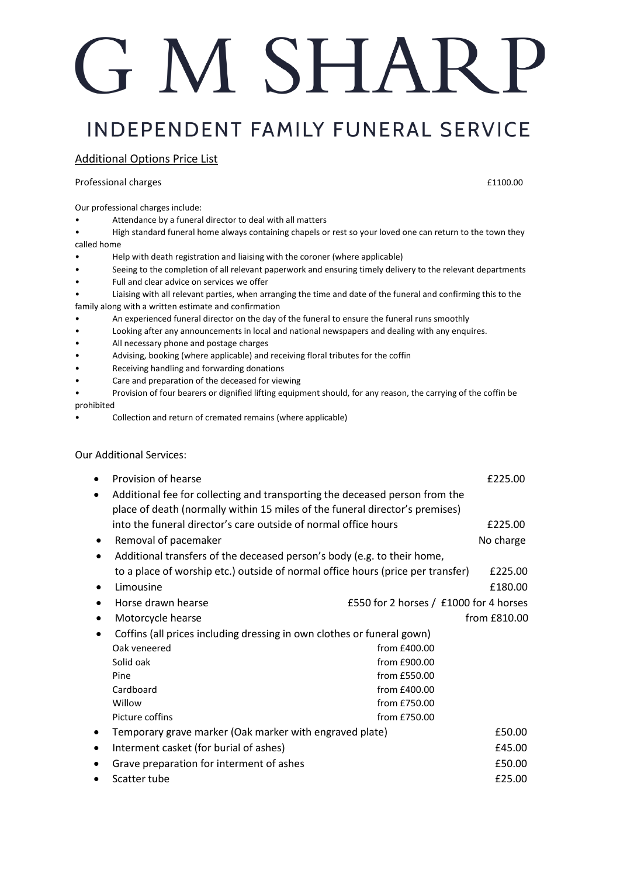# G M SHARP

### **INDEPENDENT FAMILY FUNERAL SERVICE**

#### Additional Options Price List

Professional charges **E1100.00 E1100.00** 

Our professional charges include:

- Attendance by a funeral director to deal with all matters
- High standard funeral home always containing chapels or rest so your loved one can return to the town they called home
- Help with death registration and liaising with the coroner (where applicable)
- Seeing to the completion of all relevant paperwork and ensuring timely delivery to the relevant departments
- Full and clear advice on services we offer
- Liaising with all relevant parties, when arranging the time and date of the funeral and confirming this to the family along with a written estimate and confirmation
- An experienced funeral director on the day of the funeral to ensure the funeral runs smoothly
- Looking after any announcements in local and national newspapers and dealing with any enquires.
- All necessary phone and postage charges
- Advising, booking (where applicable) and receiving floral tributes for the coffin
- Receiving handling and forwarding donations
- Care and preparation of the deceased for viewing
- Provision of four bearers or dignified lifting equipment should, for any reason, the carrying of the coffin be prohibited
- Collection and return of cremated remains (where applicable)

#### Our Additional Services:

|   | Provision of hearse                                                                                                                                         |                                        | £225.00      |
|---|-------------------------------------------------------------------------------------------------------------------------------------------------------------|----------------------------------------|--------------|
|   | Additional fee for collecting and transporting the deceased person from the<br>place of death (normally within 15 miles of the funeral director's premises) |                                        |              |
|   | into the funeral director's care outside of normal office hours                                                                                             |                                        | £225.00      |
| ٠ | Removal of pacemaker                                                                                                                                        |                                        | No charge    |
|   | Additional transfers of the deceased person's body (e.g. to their home,                                                                                     |                                        |              |
|   | to a place of worship etc.) outside of normal office hours (price per transfer)                                                                             |                                        | £225.00      |
|   | Limousine                                                                                                                                                   |                                        | £180.00      |
|   | Horse drawn hearse                                                                                                                                          | £550 for 2 horses / £1000 for 4 horses |              |
|   | Motorcycle hearse                                                                                                                                           |                                        | from £810.00 |
|   | Coffins (all prices including dressing in own clothes or funeral gown)                                                                                      |                                        |              |
|   | Oak veneered                                                                                                                                                | from £400.00                           |              |
|   | Solid oak                                                                                                                                                   | from £900.00                           |              |
|   | Pine                                                                                                                                                        | from £550.00                           |              |
|   | Cardboard                                                                                                                                                   | from £400.00                           |              |
|   | Willow                                                                                                                                                      | from £750.00                           |              |
|   | Picture coffins                                                                                                                                             | from £750.00                           |              |
|   | Temporary grave marker (Oak marker with engraved plate)                                                                                                     |                                        | £50.00       |
| ٠ | Interment casket (for burial of ashes)                                                                                                                      |                                        | £45.00       |
|   | Grave preparation for interment of ashes                                                                                                                    |                                        | £50.00       |
|   | Scatter tube                                                                                                                                                |                                        | £25.00       |